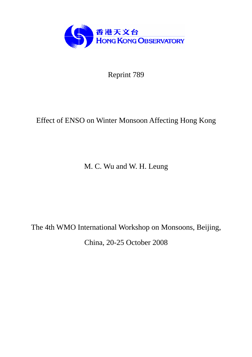

Reprint 789

# Effect of ENSO on Winter Monsoon Affecting Hong Kong

M. C. Wu and W. H. Leung

The 4th WMO International Workshop on Monsoons, Beijing, China, 20-25 October 2008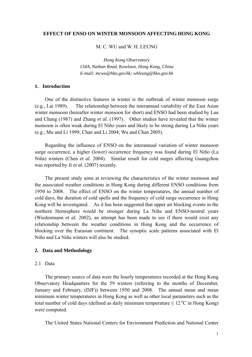#### **EFFECT OF ENSO ON WINTER MONSOON AFFECTING HONG KONG**

#### M. C. WII and W. H. LEUNG

*Hong Kong Observatory 134A, Nathan Road, Kowloon, Hong Kong, China E-mail: mcwu@hko.gov.hk; whleung@hko.gov.hk*

# **1. Introduction**

One of the distinctive features in winter is the outbreak of winter monsoon surge (e.g., Lai 1989). The relationship between the interannual variability of the East Asian winter monsoon (hereafter winter monsoon for short) and ENSO had been studied by Lau and Chang (1987) and Zhang *et al.* (1997). Other studies have revealed that the winter monsoon is often weak during El Niño years and likely to be strong during La Niña years (e.g., Mu and Li 1999; Chan and Li 2004; Wu and Chan 2005).

Regarding the influence of ENSO on the interannual variation of winter monsoon surge occurrence, a higher (lower) occurrence frequency was found during El Niño (La Niña) winters (Chen *et al.* 2004). Similar result for cold surges affecting Guangzhou was reported by Ji *et al.* (2007) recently.

The present study aims at reviewing the characteristics of the winter monsoon and the associated weather conditions in Hong Kong during different ENSO conditions from 1950 to 2008. The effect of ENSO on the winter temperatures, the annual number of cold days, the duration of cold spells and the frequency of cold surge occurrence in Hong Kong will be investigated. As it has been suggested that upper air blocking events in the northern Hemisphere would be stronger during La Niña and ENSO-neutral years (Wiedenmann *et al.* 2002), an attempt has been made to see if there would exist any relationship between the weather conditions in Hong Kong and the occurrence of blocking over the Eurasian continent. The synoptic scale patterns associated with El Niño and La Niña winters will also be studied.

#### **2. Data and Methodology**

# 2.1 Data

The primary source of data were the hourly temperatures recorded at the Hong Kong Observatory Headquarters for the 59 winters (referring to the months of December, January and February, (DJF)) between 1950 and 2008. The annual mean and mean minimum winter temperatures in Hong Kong as well as other local parameters such as the total number of cold days (defined as daily minimum temperature  $\leq 12 \degree C$  in Hong Kong) were computed.

The United States National Centers for Environment Prediction and National Center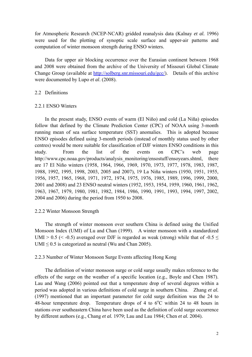for Atmospheric Research (NCEP-NCAR) gridded reanalysis data (Kalnay *et al.* 1996) were used for the plotting of synoptic scale surface and upper-air patterns and computation of winter monsoon strength during ENSO winters.

Data for upper air blocking occurrence over the Eurasian continent between 1968 and 2008 were obtained from the archive of the University of Missouri Global Climate Change Group (available at http://solberg.snr.missouri.edu/gcc/). Details of this archive were documented by Lupo *et al*. (2008).

## 2.2 Definitions

## 2.2.1 ENSO Winters

In the present study, ENSO events of warm (El Niño) and cold (La Niña) episodes follow that defined by the Climate Prediction Center (CPC) of NOAA using 3-month running mean of sea surface temperature (SST) anomalies. This is adopted because ENSO episodes defined using 3-month periods (instead of monthly status used by other centres) would be more suitable for classification of DJF winters ENSO conditions in this study. From the list of the events on CPC's web page http://www.cpc.noaa.gov/products/analysis\_monitoring/ensostuff/ensoyears.shtml, there are 17 El Niño winters (1958, 1964, 1966, 1969, 1970, 1973, 1977, 1978, 1983, 1987, 1988, 1992, 1995, 1998, 2003, 2005 and 2007), 19 La Niña winters (1950, 1951, 1955, 1956, 1957, 1965, 1968, 1971, 1972, 1974, 1975, 1976, 1985, 1989, 1996, 1999, 2000, 2001 and 2008) and 23 ENSO neutral winters (1952, 1953, 1954, 1959, 1960, 1961, 1962, 1963, 1967, 1979, 1980, 1981, 1982, 1984, 1986, 1990, 1991, 1993, 1994, 1997, 2002, 2004 and 2006) during the period from 1950 to 2008.

## 2.2.2 Winter Monsoon Strength

The strength of winter monsoon over southern China is defined using the Unified Monsoon Index (UMI) of Lu and Chan (1999). A winter monsoon with a standardized UMI > 0.5 (< -0.5) averaged over DJF is regarded as weak (strong) while that of -0.5  $\leq$ UMI  $\leq$  0.5 is categorized as neutral (Wu and Chan 2005).

## 2.2.3 Number of Winter Monsoon Surge Events affecting Hong Kong

The definition of winter monsoon surge or cold surge usually makes reference to the effects of the surge on the weather of a specific location (e.g., Boyle and Chen 1987). Lau and Wang (2006) pointed out that a temperature drop of several degrees within a period was adopted in various definitions of cold surge in southern China. Zhang *et al.* (1997) mentioned that an important parameter for cold surge definition was the 24 to 48-hour temperature drop. Temperature drops of 4 to  $6^{\circ}$ C within 24 to 48 hours in stations over southeastern China have been used as the definition of cold surge occurrence by different authors (e.g., Chang *et al.* 1979; Lau and Lau 1984; Chen *et al.* 2004).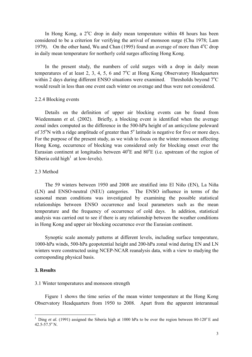In Hong Kong, a 2°C drop in daily mean temperature within 48 hours has been considered to be a criterion for verifying the arrival of monsoon surge (Chu 1978; Lam 1979). On the other hand, Wu and Chan (1995) found an average of more than  $4^{\circ}$ C drop in daily mean temperature for northerly cold surges affecting Hong Kong.

In the present study, the numbers of cold surges with a drop in daily mean temperatures of at least 2, 3, 4, 5, 6 and  $7^{\circ}$ C at Hong Kong Observatory Headquarters within 2 days during different ENSO situations were examined. Thresholds beyond  $7^{\circ}$ C would result in less than one event each winter on average and thus were not considered.

## 2.2.4 Blocking events

Details on the definition of upper air blocking events can be found from Wiedenmann *et al.* (2002). Briefly, a blocking event is identified when the average zonal index computed as the difference in the 500-hPa height of an anticyclone poleward of  $35^{\circ}$ N with a ridge amplitude of greater than  $5^{\circ}$  latitude is negative for five or more days. For the purpose of the present study, as we wish to focus on the winter monsoon affecting Hong Kong, occurrence of blocking was considered only for blocking onset over the Eurasian continent at longitudes between  $40^{\circ}$ E and  $80^{\circ}$ E (i.e. upstream of the region of Siberia cold high<sup>1</sup> at low-levels).

## 2.3 Method

The 59 winters between 1950 and 2008 are stratified into El Niño (EN), La Niña (LN) and ENSO-neutral (NEU) categories. The ENSO influence in terms of the seasonal mean conditions was investigated by examining the possible statistical relationships between ENSO occurrence and local parameters such as the mean temperature and the frequency of occurrence of cold days. In addition, statistical analysis was carried out to see if there is any relationship between the weather conditions in Hong Kong and upper air blocking occurrence over the Eurasian continent.

Synoptic scale anomaly patterns at different levels, including surface temperature, 1000-hPa winds, 500-hPa geopotential height and 200-hPa zonal wind during EN and LN winters were constructed using NCEP-NCAR reanalysis data, with a view to studying the corresponding physical basis.

## **3. Results**

 $\overline{a}$ 

#### 3.1 Winter temperatures and monsoon strength

Figure 1 shows the time series of the mean winter temperature at the Hong Kong Observatory Headquarters from 1950 to 2008. Apart from the apparent interannual

<sup>1</sup> Ding *et al.* (1991) assigned the Siberia high at 1000 hPa to be over the region between  $80-120^{\circ}$  E and  $42.5 - 57.5$ ° N.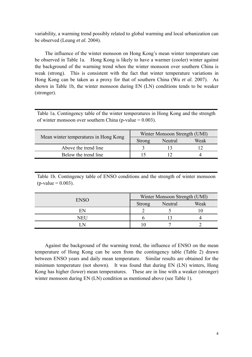variability, a warming trend possibly related to global warming and local urbanization can be observed (Leung *et al.* 2004).

The influence of the winter monsoon on Hong Kong's mean winter temperature can be observed in Table 1a. Hong Kong is likely to have a warmer (cooler) winter against the background of the warming trend when the winter monsoon over southern China is weak (strong). This is consistent with the fact that winter temperature variations in Hong Kong can be taken as a proxy for that of southern China (Wu *et al.* 2007). As shown in Table 1b, the winter monsoon during EN (LN) conditions tends to be weaker (stronger).

Table 1a. Contingency table of the winter temperatures in Hong Kong and the strength of winter monsoon over southern China (p-value  $= 0.003$ ).

| Mean winter temperatures in Hong Kong | Winter Monsoon Strength (UMI) |         |      |
|---------------------------------------|-------------------------------|---------|------|
|                                       | Strong                        | Neutral | Weak |
| Above the trend line                  |                               |         |      |
| Below the trend line                  |                               |         |      |

Table 1b. Contingency table of ENSO conditions and the strength of winter monsoon  $(p-value = 0.003)$ .

| <b>ENSO</b> | Winter Monsoon Strength (UMI) |         |      |
|-------------|-------------------------------|---------|------|
|             | <b>Strong</b>                 | Neutral | Weak |
|             |                               |         |      |
| NEH         |                               |         |      |
|             |                               |         |      |

Against the background of the warming trend, the influence of ENSO on the mean temperature of Hong Kong can be seen from the contingency table (Table 2) drawn between ENSO years and daily mean temperature. Similar results are obtained for the minimum temperature (not shown). It was found that during EN (LN) winters, Hong Kong has higher (lower) mean temperatures. These are in line with a weaker (stronger) winter monsoon during EN (LN) condition as mentioned above (see Table 1).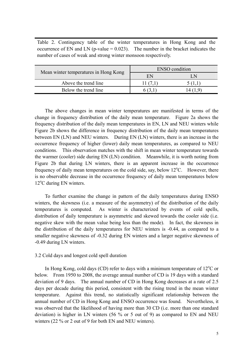Table 2. Contingency table of the winter temperatures in Hong Kong and the occurrence of EN and LN (p-value  $= 0.023$ ). The number in the bracket indicates the number of cases of weak and strong winter monsoon respectively.

|                                       | <b>ENSO</b> condition |     |  |
|---------------------------------------|-----------------------|-----|--|
| Mean winter temperatures in Hong Kong | EN                    | I N |  |
| Above the trend line                  |                       |     |  |
| Below the trend line                  |                       |     |  |

 The above changes in mean winter temperatures are manifested in terms of the change in frequency distribution of the daily mean temperature. Figure 2a shows the frequency distribution of the daily mean temperatures in EN, LN and NEU winters while Figure 2b shows the difference in frequency distribution of the daily mean temperatures between EN (LN) and NEU winters. During EN (LN) winters, there is an increase in the occurrence frequency of higher (lower) daily mean temperatures, as compared to NEU conditions. This observation matches with the shift in mean winter temperature towards the warmer (cooler) side during EN (LN) condition. Meanwhile, it is worth noting from Figure 2b that during LN winters, there is an apparent increase in the occurrence frequency of daily mean temperatures on the cold side, say, below  $12^{\circ}$ C. However, there is no observable decrease in the occurrence frequency of daily mean temperatures below 12°C during EN winters.

 To further examine the change in pattern of the daily temperatures during ENSO winters, the skewness (i.e. a measure of the asymmetry) of the distribution of the daily temperatures is computed. As winter is characterized by events of cold spells, distribution of daily temperature is asymmetric and skewed towards the cooler side (i.e. negative skew with the mean value being less than the mode). In fact, the skewness in the distribution of the daily temperatures for NEU winters is -0.44, as compared to a smaller negative skewness of -0.32 during EN winters and a larger negative skewness of -0.49 during LN winters.

## 3.2 Cold days and longest cold spell duration

In Hong Kong, cold days (CD) refer to days with a minimum temperature of  $12^{\circ}$ C or below. From 1950 to 2008, the average annual number of CD is 19 days with a standard deviation of 9 days. The annual number of CD in Hong Kong decreases at a rate of 2.5 days per decade during this period, consistent with the rising trend in the mean winter temperature. Against this trend, no statistically significant relationship between the annual number of CD in Hong Kong and ENSO occurrence was found. Nevertheless, it was observed that the likelihood of having more than 30 CD (i.e. more than one standard deviation) is higher in LN winters (56 % or 5 out of 9) as compared to EN and NEU winters (22 % or 2 out of 9 for both EN and NEU winters).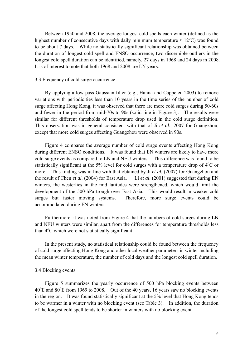Between 1950 and 2008, the average longest cold spells each winter (defined as the highest number of consecutive days with daily minimum temperature  $\leq 12^{\circ}$ C) was found to be about 7 days. While no statistically significant relationship was obtained between the duration of longest cold spell and ENSO occurrence, two discernible outliers in the longest cold spell duration can be identified, namely, 27 days in 1968 and 24 days in 2008. It is of interest to note that both 1968 and 2008 are LN years.

## 3.3 Frequency of cold surge occurrence

By applying a low-pass Gaussian filter (e.g., Hanna and Cappelen 2003) to remove variations with periodicities less than 10 years in the time series of the number of cold surge affecting Hong Kong, it was observed that there are more cold surges during 50-60s and fewer in the period from mid-70s to 90s (solid line in Figure 3). The results were similar for different thresholds of temperature drop used in the cold surge definition. This observation was in general consistent with that of Ji *et al.*, 2007 for Guangzhou, except that more cold surges affecting Guangzhou were observed in 90s.

Figure 4 compares the average number of cold surge events affecting Hong Kong during different ENSO conditions. It was found that EN winters are likely to have more cold surge events as compared to LN and NEU winters. This difference was found to be statistically significant at the 5% level for cold surges with a temperature drop of  $4^{\circ}$ C or more. This finding was in line with that obtained by Ji *et al.* (2007) for Guangzhou and the result of Chen *et al.* (2004) for East Asia. Li *et al*. (2001) suggested that during EN winters, the westerlies in the mid latitudes were strengthened, which would limit the development of the 500-hPa trough over East Asia. This would result in weaker cold surges but faster moving systems. Therefore, more surge events could be accommodated during EN winters.

Furthermore, it was noted from Figure 4 that the numbers of cold surges during LN and NEU winters were similar, apart from the differences for temperature thresholds less than 4<sup>o</sup>C which were not statistically significant.

In the present study, no statistical relationship could be found between the frequency of cold surge affecting Hong Kong and other local weather parameters in winter including the mean winter temperature, the number of cold days and the longest cold spell duration.

## 3.4 Blocking events

 Figure 5 summarizes the yearly occurrence of 500 hPa blocking events between  $40^{\circ}$ E and  $80^{\circ}$ E from 1969 to 2008. Out of the 40 years, 16 years saw no blocking events in the region. It was found statistically significant at the 5% level that Hong Kong tends to be warmer in a winter with no blocking event (see Table 3). In addition, the duration of the longest cold spell tends to be shorter in winters with no blocking event.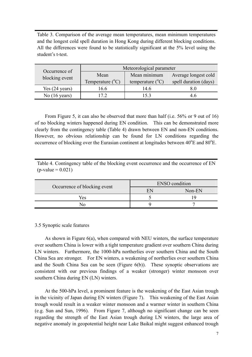Table 3. Comparison of the average mean temperatures, mean minimum temperatures and the longest cold spell duration in Hong Kong during different blocking conditions. All the differences were found to be statistically significant at the 5% level using the student's t-test.

| Occurrence of            | Meteorological parameter  |                           |                       |
|--------------------------|---------------------------|---------------------------|-----------------------|
| blocking event           | Mean                      | Mean minimum              | Average longest cold  |
|                          | Temperature $(^{\circ}C)$ | temperature $(^{\circ}C)$ | spell duration (days) |
| Yes $(24 \text{ years})$ | .6.6                      | I4 6                      |                       |
| No $(16 \text{ years})$  | 72                        | 53                        |                       |

From Figure 5, it can also be observed that more than half (i.e. 56% or 9 out of 16) of no blocking winters happened during EN condition. This can be demonstrated more clearly from the contingency table (Table 4) drawn between EN and non-EN conditions. However, no obvious relationship can be found for LN conditions regarding the occurrence of blocking over the Eurasian continent at longitudes between  $40^{\circ}$ E and  $80^{\circ}$ E.

Table 4. Contingency table of the blocking event occurrence and the occurrence of EN  $(p-value = 0.021)$ 

| Occurrence of blocking event | <b>ENSO</b> condition |        |  |
|------------------------------|-----------------------|--------|--|
|                              | ы                     | Non-EN |  |
| Yes                          |                       |        |  |
|                              |                       |        |  |

# 3.5 Synoptic scale features

As shown in Figure 6(a), when compared with NEU winters, the surface temperature over southern China is lower with a tight temperature gradient over southern China during LN winters. Furthermore, the 1000-hPa northerlies over southern China and the South China Sea are stronger. For EN winters, a weakening of northerlies over southern China and the South China Sea can be seen (Figure 6(b)). These synoptic observations are consistent with our previous findings of a weaker (stronger) winter monsoon over southern China during EN (LN) winters.

At the 500-hPa level, a prominent feature is the weakening of the East Asian trough in the vicinity of Japan during EN winters (Figure 7). This weakening of the East Asian trough would result in a weaker winter monsoon and a warmer winter in southern China (e.g. Sun and Sun, 1996). From Figure 7, although no significant change can be seen regarding the strength of the East Asian trough during LN winters, the large area of negative anomaly in geopotential height near Lake Baikal might suggest enhanced trough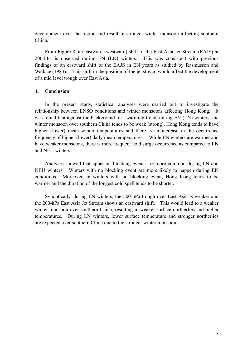development over the region and result in stronger winter monsoon affecting southern China.

From Figure 8, an eastward (westward) shift of the East Asia Jet Stream (EAJS) at 200-hPa is observed during EN (LN) winters. This was consistent with previous findings of an eastward shift of the EAJS in EN years as studied by Rasmusson and Wallace (1983). This shift in the position of the jet stream would affect the development of a mid level trough over East Asia.

# **4. Conclusion**

In the present study, statistical analyses were carried out to investigate the relationship between ENSO conditions and winter monsoons affecting Hong Kong. It was found that against the background of a warming trend, during EN (LN) winters, the winter monsoon over southern China tends to be weak (strong), Hong Kong tends to have higher (lower) mean winter temperatures and there is an increase in the occurrence frequency of higher (lower) daily mean temperatures. While EN winters are warmer and have weaker monsoons, there is more frequent cold surge occurrence as compared to LN and NEU winters.

Analyses showed that upper air blocking events are more common during LN and NEU winters. Winters with no blocking event are more likely to happen during EN conditions. Moreover, in winters with no blocking event, Hong Kong tends to be warmer and the duration of the longest cold spell tends to be shorter.

Synoptically, during EN winters, the 500-hPa trough over East Asia is weaker and the 200-hPa East Asia Jet Stream shows an eastward shift. This would lead to a weaker winter monsoon over southern China, resulting in weaker surface northerlies and higher temperatures. During LN winters, lower surface temperature and stronger northerlies are expected over southern China due to the stronger winter monsoon.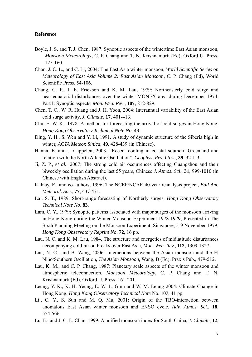#### **Reference**

- Boyle, J. S. and T. J. Chen, 1987: Synoptic aspects of the wintertime East Asian monsoon, *Monsoon Meteorology*, C. P. Chang and T. N. Krishnamurti (Ed), Oxford U. Press, 125-160.
- Chan, J. C. L., and C. Li, 2004: The East Asia winter monsoon, *World Scientific Series on Meteorology of East Asia Volume 2: East Asian Monsoon*, C. P. Chang (Ed), World Scientific Press, 54-106.
- Chang, C. P., J. E. Erickson and K. M. Lau, 1979: Northeasterly cold surge and near-equatorial disturbances over the winter MONEX area during December 1974. Part I: Synoptic aspects, *Mon. Wea. Rev*., **107**, 812-829.
- Chen, T. C., W. R. Huang and J. H. Yoon, 2004: Interannual variability of the East Asian cold surge activity, *J. Climate*, **17**, 401-413.
- Chu, E. W. K., 1978: A method for forecasting the arrival of cold surges in Hong Kong, *Hong Kong Observatory Technical Note No*. **43**.
- Ding, Y. H., S. Wen and Y. Li, 1991. A study of dynamic structure of the Siberia high in winter, *ACTA Meteor. Sinica*, **49**, 428-439 (in Chinese).
- Hanna, E. and J. Cappelen, 2003, "Recent cooling in coastal southern Greenland and relation with the North Atlantic Oscillation". *Geophys. Res. Lttrs.*, **39**, 32-1-3.
- Ji, Z. P., *et al.*, 2007: The strong cold air occurrences affecting Guangzhou and their biweekly oscillation during the last 55 years, Chinese *J. Atmos. Sci*., **31**, 999-1010 (in Chinese with English Abstract).
- Kalnay, E., and co-authors, 1996: The NCEP/NCAR 40-year reanalysis project, *Bull Am. Meteorol. Soc*., **77**, 437-471.
- Lai, S. T., 1989: Short-range forecasting of Northerly surges. *Hong Kong Observatory Technical Note No*. **83**.
- Lam, C. Y., 1979: Synoptic patterns associated with major surges of the monsoon arriving in Hong Kong during the Winter Monsoon Experiment 1978-1979, Presented in The Sixth Planning Meeting on the Monsoon Experiment, Singapore, 5-9 November 1979, *Hong Kong Observatory Reprint No*. **72**, 16 pp.
- Lau, N. C. and K. M. Lau, 1984, The structure and energetics of midlatitude disturbances accompanying cold-air outbreaks over East Asia, *Mon. Wea. Rev.,* **112**, 1309-1327.
- Lau, N. C., and B. Wang, 2006: Interactions between the Asian monsoon and the El Nino/Southern Oscillation, *The Asian Monsoon,* Wang, B (Ed), Praxis Pub., 479-512.
- Lau, K. M., and C. P. Chang, 1987: Planetary scale aspects of the winter monsoon and atmospheric teleconnection, *Monsoon Meteorology*, C. P. Chang and T. N. Krishnamurti (Ed), Oxford U. Press, 161-201.
- Leung, Y. K., K. H. Yeung, E. W. L. Ginn and W. M. Leung 2004: Climate Change in Hong Kong, *Hong Kong Observatory Technical Note* No. **107**, 41 pp.
- Li., C. Y., S. Sun and M. Q. Mu, 2001: Origin of the TBO-interaction between anomalous East Asian winter monsoon and ENSO cycle. *Adv. Atmos. Sci.*, **18**, 554-566.
- Lu, E., and J. C. L. Chan, 1999: A unified monsoon index for South China, *J. Climate*, **12**,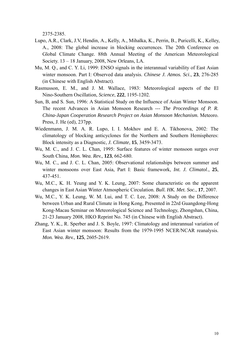2375-2385.

- Lupo, A.R., Clark, J.V, Hendin, A., Kelly, A., Mihalka, K., Perrin, B., Puricelli, K., Kelley, A., 2008: The global increase in blocking occurrences. The 20th Conference on Global Climate Change. 88th Annual Meeting of the American Meteorological Society. 13 – 18 January, 2008, New Orleans, LA.
- Mu, M. Q., and C. Y. Li, 1999: ENSO signals in the interannual variability of East Asian winter monsoon. Part I: Observed data analysis. *Chinese J. Atmos. Sci*., **23**, 276-285 (in Chinese with English Abstract).
- Rasmusson, E. M., and J. M. Wallace, 1983: Meteorological aspects of the El Nino-Southern Oscillation, *Science*, **222**, 1195-1202.
- Sun, B, and S. Sun, 1996: A Statistical Study on the Influence of Asian Winter Monsoon. The recent Advances in Asian Monsoon Research --- *The Proceedings of P. R. China-Japan Cooperation Research Project on Asian Monsoon Mechanism.* Meteoro. Press, J. He (ed), 237pp.
- Wiedenmann, J. M. A. R. Lupo, I. I. Mokhov and E. A. Tikhonova, 2002: The climatology of blocking anticyclones for the Northern and Southern Hemispheres: Block intensity as a Diagnostic, *J. Climate*, **15**, 3459-3473.
- Wu, M. C., and J. C. L. Chan, 1995: Surface features of winter monsoon surges over South China, *Mon. Wea. Rev.,* **123**, 662-680.
- Wu, M. C., and J. C. L. Chan, 2005: Observational relationships between summer and winter monsoons over East Asia, Part I: Basic framework, *Int. J. Climatol*., **25**, 437-451.
- Wu, M.C., K. H. Yeung and Y. K. Leung, 2007: Some characteristic on the apparent changes in East Asian Winter Atmospheric Circulation. *Bull. HK. Met. Soc.*, **17**, 2007.
- Wu, M.C., Y. K. Leung, W. M. Lui, and T. C. Lee, 2008: A Study on the Difference between Urban and Rural Climate in Hong Kong, Presented in 22rd Guangdong-Hong Kong-Macau Seminar on Meteorological Science and Technology, Zhongshan, China, 21-23 January 2008, HKO Reprint No. 745 (in Chinese with English Abstract).
- Zhang, Y. K., R. Sperber and J. S. Boyle, 1997: Climatology and interannual variation of East Asian winter monsoon: Results from the 1979-1995 NCER/NCAR reanalysis. *Mon. Wea. Rev.*, **125**, 2605-2619.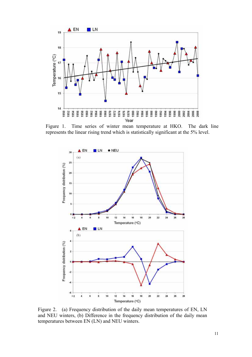

Figure 1. Time series of winter mean temperature at HKO. The dark line represents the linear rising trend which is statistically significant at the 5% level.



Figure 2. (a) Frequency distribution of the daily mean temperatures of EN, LN and NEU winters, (b) Difference in the frequency distribution of the daily mean temperatures between EN (LN) and NEU winters.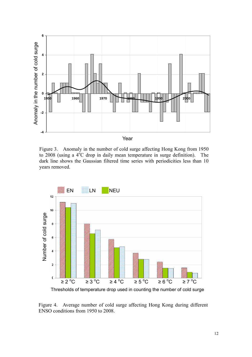

Figure 3. Anomaly in the number of cold surge affecting Hong Kong from 1950 to 2008 (using a 4<sup>o</sup>C drop in daily mean temperature in surge definition). The dark line shows the Gaussian filtered time series with periodicities less than 10 years removed.



Thresholds of temperature drop used in counting the number of cold surge

Figure 4. Average number of cold surge affecting Hong Kong during different ENSO conditions from 1950 to 2008.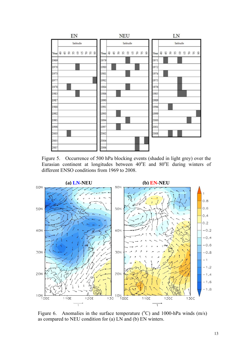

Figure 5. Occurrence of 500 hPa blocking events (shaded in light grey) over the Eurasian continent at longitudes between  $40^{\circ}$ E and  $80^{\circ}$ E during winters of different ENSO conditions from 1969 to 2008.



Figure 6. Anomalies in the surface temperature  $({}^{\circ}C)$  and 1000-hPa winds  $(m/s)$ as compared to NEU condition for (a) LN and (b) EN winters.